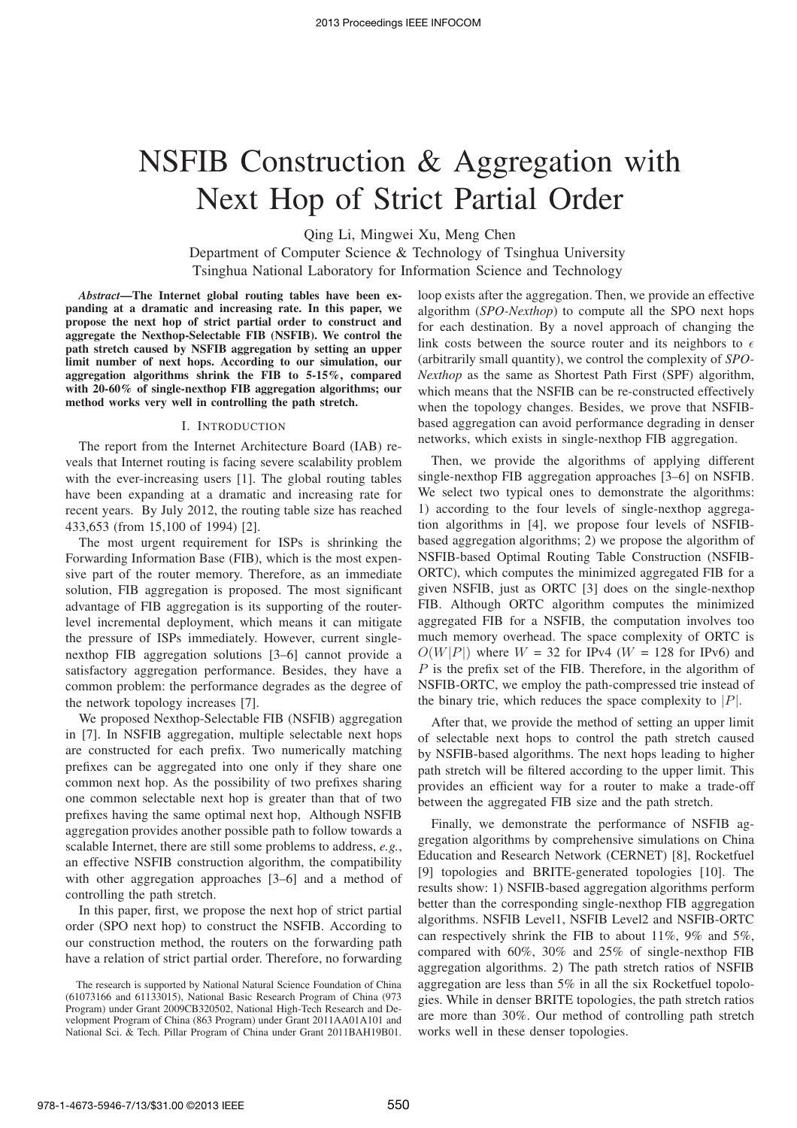# NSFIB Construction & Aggregation with Next Hop of Strict Partial Order

Qing Li, Mingwei Xu, Meng Chen

Department of Computer Science & Technology of Tsinghua University Tsinghua National Laboratory for Information Science and Technology

*Abstract***—The Internet global routing tables have been expanding at a dramatic and increasing rate. In this paper, we propose the next hop of strict partial order to construct and aggregate the Nexthop-Selectable FIB (NSFIB). We control the path stretch caused by NSFIB aggregation by setting an upper limit number of next hops. According to our simulation, our aggregation algorithms shrink the FIB to 5-15%, compared with 20-60% of single-nexthop FIB aggregation algorithms; our method works very well in controlling the path stretch.**

#### I. INTRODUCTION

The report from the Internet Architecture Board (IAB) reveals that Internet routing is facing severe scalability problem with the ever-increasing users [1]. The global routing tables have been expanding at a dramatic and increasing rate for recent years. By July 2012, the routing table size has reached 433,653 (from 15,100 of 1994) [2].

The most urgent requirement for ISPs is shrinking the Forwarding Information Base (FIB), which is the most expensive part of the router memory. Therefore, as an immediate solution, FIB aggregation is proposed. The most significant advantage of FIB aggregation is its supporting of the routerlevel incremental deployment, which means it can mitigate the pressure of ISPs immediately. However, current singlenexthop FIB aggregation solutions [3–6] cannot provide a satisfactory aggregation performance. Besides, they have a common problem: the performance degrades as the degree of the network topology increases [7].

We proposed Nexthop-Selectable FIB (NSFIB) aggregation in [7]. In NSFIB aggregation, multiple selectable next hops are constructed for each prefix. Two numerically matching prefixes can be aggregated into one only if they share one common next hop. As the possibility of two prefixes sharing one common selectable next hop is greater than that of two prefixes having the same optimal next hop, Although NSFIB aggregation provides another possible path to follow towards a scalable Internet, there are still some problems to address, *e.g.*, an effective NSFIB construction algorithm, the compatibility with other aggregation approaches [3–6] and a method of controlling the path stretch.

In this paper, first, we propose the next hop of strict partial order (SPO next hop) to construct the NSFIB. According to our construction method, the routers on the forwarding path have a relation of strict partial order. Therefore, no forwarding loop exists after the aggregation. Then, we provide an effective algorithm (*SPO-Nexthop*) to compute all the SPO next hops for each destination. By a novel approach of changing the link costs between the source router and its neighbors to  $\epsilon$ (arbitrarily small quantity), we control the complexity of *SPO-Nexthop* as the same as Shortest Path First (SPF) algorithm, which means that the NSFIB can be re-constructed effectively when the topology changes. Besides, we prove that NSFIBbased aggregation can avoid performance degrading in denser networks, which exists in single-nexthop FIB aggregation.

Then, we provide the algorithms of applying different single-nexthop FIB aggregation approaches [3–6] on NSFIB. We select two typical ones to demonstrate the algorithms: 1) according to the four levels of single-nexthop aggregation algorithms in [4], we propose four levels of NSFIBbased aggregation algorithms; 2) we propose the algorithm of NSFIB-based Optimal Routing Table Construction (NSFIB-ORTC), which computes the minimized aggregated FIB for a given NSFIB, just as ORTC [3] does on the single-nexthop FIB. Although ORTC algorithm computes the minimized aggregated FIB for a NSFIB, the computation involves too much memory overhead. The space complexity of ORTC is  $O(W|P|)$  where  $W = 32$  for IPv4 ( $W = 128$  for IPv6) and P is the prefix set of the FIB. Therefore, in the algorithm of NSFIB-ORTC, we employ the path-compressed trie instead of the binary trie, which reduces the space complexity to  $|P|$ .

After that, we provide the method of setting an upper limit of selectable next hops to control the path stretch caused by NSFIB-based algorithms. The next hops leading to higher path stretch will be filtered according to the upper limit. This provides an efficient way for a router to make a trade-off between the aggregated FIB size and the path stretch.

Finally, we demonstrate the performance of NSFIB aggregation algorithms by comprehensive simulations on China Education and Research Network (CERNET) [8], Rocketfuel [9] topologies and BRITE-generated topologies [10]. The results show: 1) NSFIB-based aggregation algorithms perform better than the corresponding single-nexthop FIB aggregation algorithms. NSFIB Level1, NSFIB Level2 and NSFIB-ORTC can respectively shrink the FIB to about  $11\%$ ,  $9\%$  and  $5\%$ , compared with 60%, 30% and 25% of single-nexthop FIB aggregation algorithms. 2) The path stretch ratios of NSFIB aggregation are less than 5% in all the six Rocketfuel topologies. While in denser BRITE topologies, the path stretch ratios are more than 30%. Our method of controlling path stretch works well in these denser topologies.

The research is supported by National Natural Science Foundation of China (61073166 and 61133015), National Basic Research Program of China (973 Program) under Grant 2009CB320502, National High-Tech Research and Development Program of China (863 Program) under Grant 2011AA01A101 and National Sci. & Tech. Pillar Program of China under Grant 2011BAH19B01.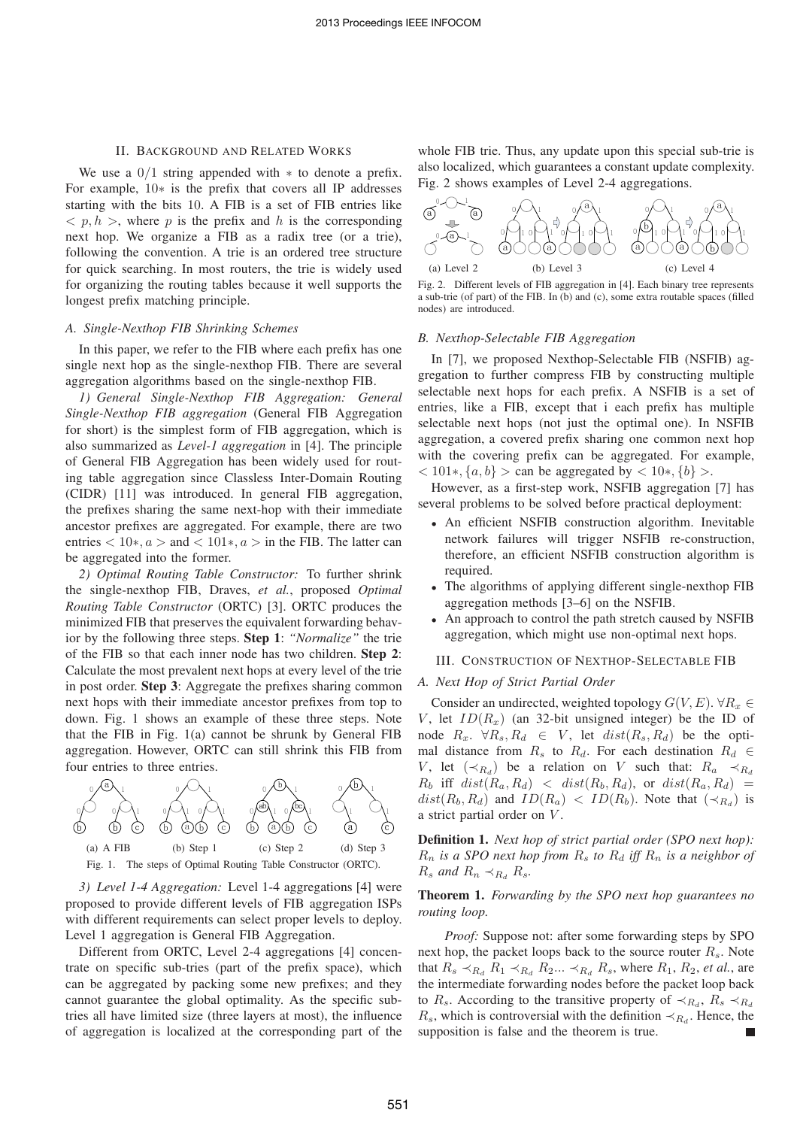## II. BACKGROUND AND RELATED WORKS

We use a  $0/1$  string appended with  $*$  to denote a prefix. For example, 10∗ is the prefix that covers all IP addresses starting with the bits 10. A FIB is a set of FIB entries like  $\langle p, h \rangle$ , where p is the prefix and h is the corresponding next hop. We organize a FIB as a radix tree (or a trie), following the convention. A trie is an ordered tree structure for quick searching. In most routers, the trie is widely used for organizing the routing tables because it well supports the longest prefix matching principle.

## *A. Single-Nexthop FIB Shrinking Schemes*

In this paper, we refer to the FIB where each prefix has one single next hop as the single-nexthop FIB. There are several aggregation algorithms based on the single-nexthop FIB.

*1) General Single-Nexthop FIB Aggregation: General Single-Nexthop FIB aggregation* (General FIB Aggregation for short) is the simplest form of FIB aggregation, which is also summarized as *Level-1 aggregation* in [4]. The principle of General FIB Aggregation has been widely used for routing table aggregation since Classless Inter-Domain Routing (CIDR) [11] was introduced. In general FIB aggregation, the prefixes sharing the same next-hop with their immediate ancestor prefixes are aggregated. For example, there are two entries  $< 10*, a >$  and  $< 101*, a >$  in the FIB. The latter can be aggregated into the former.

*2) Optimal Routing Table Constructor:* To further shrink the single-nexthop FIB, Draves, *et al.*, proposed *Optimal Routing Table Constructor* (ORTC) [3]. ORTC produces the minimized FIB that preserves the equivalent forwarding behavior by the following three steps. **Step 1**: *"Normalize"* the trie of the FIB so that each inner node has two children. **Step 2**: Calculate the most prevalent next hops at every level of the trie in post order. **Step 3**: Aggregate the prefixes sharing common next hops with their immediate ancestor prefixes from top to down. Fig. 1 shows an example of these three steps. Note that the FIB in Fig. 1(a) cannot be shrunk by General FIB aggregation. However, ORTC can still shrink this FIB from four entries to three entries.



*3) Level 1-4 Aggregation:* Level 1-4 aggregations [4] were proposed to provide different levels of FIB aggregation ISPs with different requirements can select proper levels to deploy. Level 1 aggregation is General FIB Aggregation.

Different from ORTC, Level 2-4 aggregations [4] concentrate on specific sub-tries (part of the prefix space), which can be aggregated by packing some new prefixes; and they cannot guarantee the global optimality. As the specific subtries all have limited size (three layers at most), the influence of aggregation is localized at the corresponding part of the

whole FIB trie. Thus, any update upon this special sub-trie is also localized, which guarantees a constant update complexity. Fig. 2 shows examples of Level 2-4 aggregations.



Fig. 2. Different levels of FIB aggregation in [4]. Each binary tree represents a sub-trie (of part) of the FIB. In (b) and (c), some extra routable spaces (filled nodes) are introduced.

#### *B. Nexthop-Selectable FIB Aggregation*

In [7], we proposed Nexthop-Selectable FIB (NSFIB) aggregation to further compress FIB by constructing multiple selectable next hops for each prefix. A NSFIB is a set of entries, like a FIB, except that i each prefix has multiple selectable next hops (not just the optimal one). In NSFIB aggregation, a covered prefix sharing one common next hop with the covering prefix can be aggregated. For example,  $< 101*, \{a, b\} >$  can be aggregated by  $< 10*, \{b\} >$ .

However, as a first-step work, NSFIB aggregation [7] has several problems to be solved before practical deployment:

- An efficient NSFIB construction algorithm. Inevitable network failures will trigger NSFIB re-construction, therefore, an efficient NSFIB construction algorithm is required.
- The algorithms of applying different single-nexthop FIB aggregation methods [3–6] on the NSFIB.
- An approach to control the path stretch caused by NSFIB aggregation, which might use non-optimal next hops.

#### III. CONSTRUCTION OF NEXTHOP-SELECTABLE FIB

# *A. Next Hop of Strict Partial Order*

 $\int_{c}^{1}$  a strict partial order on V. Consider an undirected, weighted topology  $G(V, E)$ .  $\forall R_x \in$ V, let  $ID(R_x)$  (an 32-bit unsigned integer) be the ID of node  $R_x$ .  $\forall R_s, R_d \in V$ , let  $dist(R_s, R_d)$  be the optimal distance from  $R_s$  to  $R_d$ . For each destination  $R_d \in$ V, let  $(\prec_{R_d})$  be a relation on V such that:  $R_a \prec_{R_d}$  $R_b$  iff  $dist(R_a, R_d) < dist(R_b, R_d)$ , or  $dist(R_a, R_d)$  $dist(R_b, R_d)$  and  $ID(R_a) < ID(R_b)$ . Note that  $(\prec_{R_d})$  is

**Definition 1.** *Next hop of strict partial order (SPO next hop):*  $R_n$  *is a SPO next hop from*  $R_s$  *to*  $R_d$  *iff*  $R_n$  *is a neighbor of*  $R_s$  *and*  $R_n \prec_{R_d} R_s$ .

# **Theorem 1.** *Forwarding by the SPO next hop guarantees no routing loop.*

*Proof:* Suppose not: after some forwarding steps by SPO next hop, the packet loops back to the source router  $R_s$ . Note that  $R_s \prec_{R_d} R_1 \prec_{R_d} R_2... \prec_{R_d} R_s$ , where  $R_1, R_2$ , *et al.*, are the intermediate forwarding nodes before the packet loop back to R<sub>s</sub>. According to the transitive property of  $\prec_{R_d}$ , R<sub>s</sub>  $\prec_{R_d}$  $R_s$ , which is controversial with the definition  $\prec_{R_d}$ . Hence, the supposition is false and the theorem is true.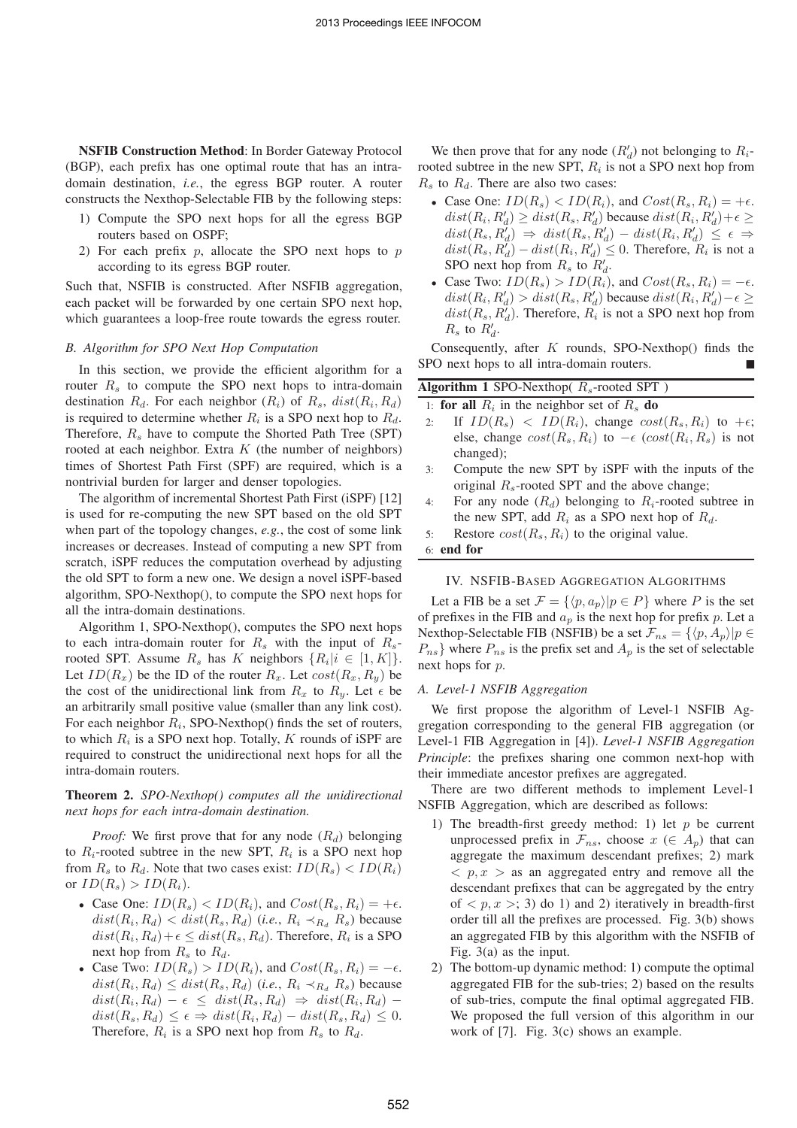**NSFIB Construction Method**: In Border Gateway Protocol (BGP), each prefix has one optimal route that has an intradomain destination, *i.e.*, the egress BGP router. A router constructs the Nexthop-Selectable FIB by the following steps:

- 1) Compute the SPO next hops for all the egress BGP routers based on OSPF;
- 2) For each prefix  $p$ , allocate the SPO next hops to  $p$ according to its egress BGP router.

Such that, NSFIB is constructed. After NSFIB aggregation, each packet will be forwarded by one certain SPO next hop, which guarantees a loop-free route towards the egress router.

## *B. Algorithm for SPO Next Hop Computation*

In this section, we provide the efficient algorithm for a router  $R_s$  to compute the SPO next hops to intra-domain destination  $R_d$ . For each neighbor  $(R_i)$  of  $R_s$ ,  $dist(R_i, R_d)$ is required to determine whether  $R_i$  is a SPO next hop to  $R_d$ . Therefore,  $R_s$  have to compute the Shorted Path Tree (SPT) rooted at each neighbor. Extra  $K$  (the number of neighbors) times of Shortest Path First (SPF) are required, which is a nontrivial burden for larger and denser topologies.

The algorithm of incremental Shortest Path First (iSPF) [12] is used for re-computing the new SPT based on the old SPT when part of the topology changes, *e.g.*, the cost of some link increases or decreases. Instead of computing a new SPT from scratch, iSPF reduces the computation overhead by adjusting the old SPT to form a new one. We design a novel iSPF-based algorithm, SPO-Nexthop(), to compute the SPO next hops for all the intra-domain destinations.

Algorithm 1, SPO-Nexthop(), computes the SPO next hops to each intra-domain router for  $R_s$  with the input of  $R_s$ rooted SPT. Assume  $R_s$  has K neighbors  $\{R_i | i \in [1, K]\}.$ Let  $ID(R_x)$  be the ID of the router  $R_x$ . Let  $cost(R_x, R_y)$  be the cost of the unidirectional link from  $R_x$  to  $R_y$ . Let  $\epsilon$  be an arbitrarily small positive value (smaller than any link cost). For each neighbor  $R_i$ , SPO-Nexthop() finds the set of routers, to which  $R_i$  is a SPO next hop. Totally,  $K$  rounds of iSPF are required to construct the unidirectional next hops for all the intra-domain routers.

**Theorem 2.** *SPO-Nexthop() computes all the unidirectional next hops for each intra-domain destination.*

*Proof:* We first prove that for any node  $(R_d)$  belonging to  $R_i$ -rooted subtree in the new SPT,  $R_i$  is a SPO next hop from  $R_s$  to  $R_d$ . Note that two cases exist:  $ID(R_s) < ID(R_i)$ or  $ID(R_s) > ID(R_i)$ .

- Case One:  $ID(R_s) < ID(R_i)$ , and  $Cost(R_s, R_i) = +\epsilon$ .  $dist(R_i, R_d) < dist(R_s, R_d)$  (*i.e.*,  $R_i \prec_{R_d} R_s$ ) because  $dist(R_i, R_d) + \epsilon \leq dist(R_s, R_d)$ . Therefore,  $R_i$  is a SPO next hop from  $R_s$  to  $R_d$ .
- Case Two:  $ID(R_s) > ID(R_i)$ , and  $Cost(R_s, R_i) = -\epsilon$ .  $dist(R_i, R_d) \leq dist(R_s, R_d)$  (*i.e.*,  $R_i \prec_{R_d} R_s$ ) because  $dist(R_i, R_d) - \epsilon \leq dist(R_s, R_d) \Rightarrow dist(R_i, R_d)$  $dist(R_s, R_d) \leq \epsilon \Rightarrow dist(R_i, R_d) - dist(R_s, R_d) \leq 0.$ Therefore,  $R_i$  is a SPO next hop from  $R_s$  to  $R_d$ .

We then prove that for any node  $(R'_d)$  not belonging to  $R_i$ rooted subtree in the new SPT,  $R_i$  is not a SPO next hop from  $R_s$  to  $R_d$ . There are also two cases:

- Case One:  $ID(R_s) < ID(R_i)$ , and  $Cost(R_s, R_i) = +\epsilon$ .  $dist(R_i, R_d') \geq dist(R_s, R_d')$  because  $dist(R_i, R_d') + \epsilon \geq$  $dist(R_s, R_d^{\prime}) \Rightarrow dist(R_s, R_d^{\prime}) - dist(R_i, R_d^{\prime}) \leq \epsilon \Rightarrow$  $dist(R_s, R_d) - dist(R_i, R_d) \leq 0$ . Therefore,  $R_i$  is not a SPO next hop from  $R_s$  to  $R_d$ .
- Case Two:  $ID(R_s) > ID(R_i)$ , and  $Cost(R_s, R_i) = -\epsilon$ .  $dist(R_i, R'_d) > dist(R_s, R'_d)$  because  $dist(R_i, R'_d) - \epsilon \ge$  $dist(R_s, R_d)$ . Therefore,  $R_i$  is not a SPO next hop from  $R_s$  to  $R_d'$ .

Consequently, after  $K$  rounds, SPO-Nexthop() finds the SPO next hops to all intra-domain routers.

| <b>Algorithm 1</b> SPO-Nexthop( $R_s$ -rooted SPT) |                                                                      |  |
|----------------------------------------------------|----------------------------------------------------------------------|--|
|                                                    | 1: for all $R_i$ in the neighbor set of $R_s$ do                     |  |
| 2:                                                 | If $ID(R_s)$ < $ID(R_i)$ , change $cost(R_s, R_i)$ to $+\epsilon$ ;  |  |
|                                                    | else, change $cost(R_s, R_i)$ to $-\epsilon$ $cost(R_i, R_s)$ is not |  |
|                                                    | changed);                                                            |  |
| 3:                                                 | Compute the new SPT by iSPF with the inputs of the                   |  |
|                                                    | original $R_s$ -rooted SPT and the above change;                     |  |

- 4: For any node  $(R_d)$  belonging to  $R_i$ -rooted subtree in the new SPT, add  $R_i$  as a SPO next hop of  $R_d$ .
- 5: Restore  $cost(R_s, R_i)$  to the original value.

6: **end for**

## IV. NSFIB-BASED AGGREGATION ALGORITHMS

Let a FIB be a set  $\mathcal{F} = \{ \langle p, a_p \rangle | p \in P \}$  where P is the set of prefixes in the FIB and  $a_p$  is the next hop for prefix p. Let a Nexthop-Selectable FIB (NSFIB) be a set  $\mathcal{F}_{ns} = \{ \langle p, A_p \rangle | p \in$  $P_{ns}$  where  $P_{ns}$  is the prefix set and  $A_p$  is the set of selectable next hops for p.

## *A. Level-1 NSFIB Aggregation*

We first propose the algorithm of Level-1 NSFIB Aggregation corresponding to the general FIB aggregation (or Level-1 FIB Aggregation in [4]). *Level-1 NSFIB Aggregation Principle*: the prefixes sharing one common next-hop with their immediate ancestor prefixes are aggregated.

There are two different methods to implement Level-1 NSFIB Aggregation, which are described as follows:

- 1) The breadth-first greedy method: 1) let  $p$  be current unprocessed prefix in  $\mathcal{F}_{ns}$ , choose  $x \in A_p$ ) that can aggregate the maximum descendant prefixes; 2) mark  $\langle p, x \rangle$  as an aggregated entry and remove all the descendant prefixes that can be aggregated by the entry of  $\langle p, x \rangle$ ; 3) do 1) and 2) iteratively in breadth-first order till all the prefixes are processed. Fig. 3(b) shows an aggregated FIB by this algorithm with the NSFIB of Fig. 3(a) as the input.
- 2) The bottom-up dynamic method: 1) compute the optimal aggregated FIB for the sub-tries; 2) based on the results of sub-tries, compute the final optimal aggregated FIB. We proposed the full version of this algorithm in our work of [7]. Fig. 3(c) shows an example.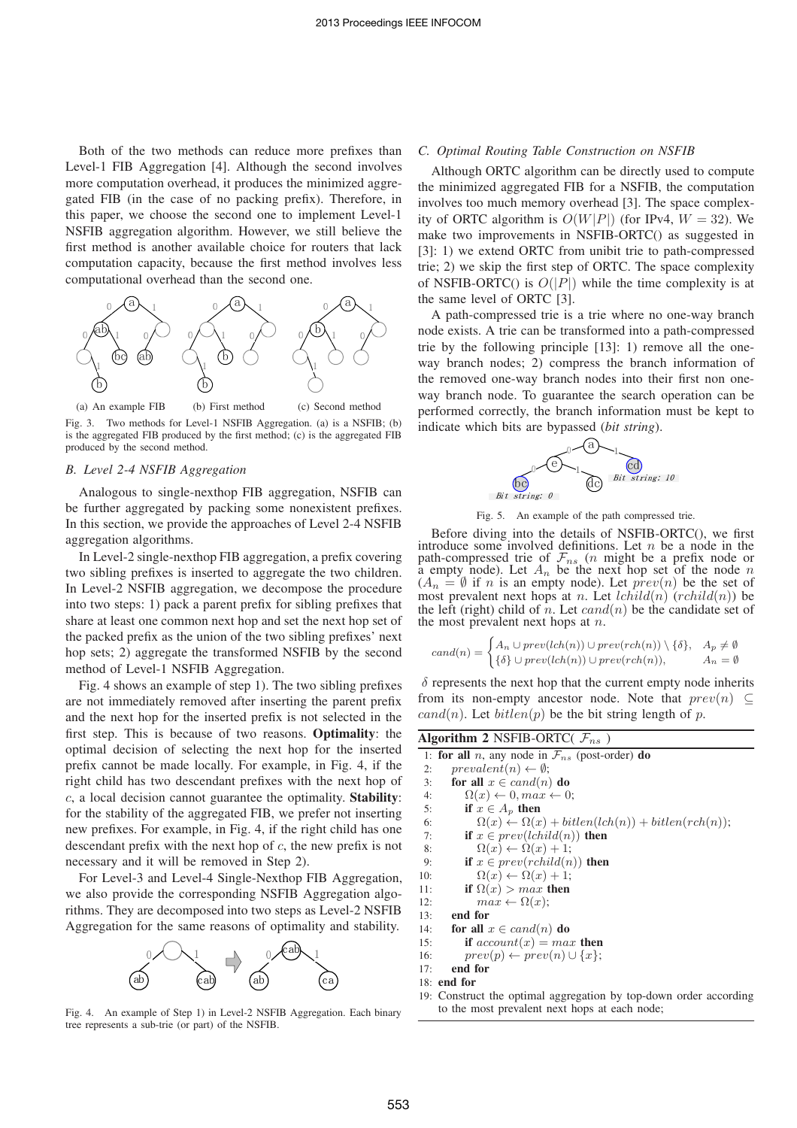Both of the two methods can reduce more prefixes than Level-1 FIB Aggregation [4]. Although the second involves more computation overhead, it produces the minimized aggregated FIB (in the case of no packing prefix). Therefore, in this paper, we choose the second one to implement Level-1 NSFIB aggregation algorithm. However, we still believe the first method is another available choice for routers that lack computation capacity, because the first method involves less computational overhead than the second one.



Fig. 3. Two methods for Level-1 NSFIB Aggregation. (a) is a NSFIB; (b) is the aggregated FIB produced by the first method; (c) is the aggregated FIB produced by the second method.

## *B. Level 2-4 NSFIB Aggregation*

Analogous to single-nexthop FIB aggregation, NSFIB can be further aggregated by packing some nonexistent prefixes. In this section, we provide the approaches of Level 2-4 NSFIB aggregation algorithms.

In Level-2 single-nexthop FIB aggregation, a prefix covering two sibling prefixes is inserted to aggregate the two children. In Level-2 NSFIB aggregation, we decompose the procedure into two steps: 1) pack a parent prefix for sibling prefixes that share at least one common next hop and set the next hop set of the packed prefix as the union of the two sibling prefixes' next hop sets; 2) aggregate the transformed NSFIB by the second method of Level-1 NSFIB Aggregation.

Fig. 4 shows an example of step 1). The two sibling prefixes are not immediately removed after inserting the parent prefix and the next hop for the inserted prefix is not selected in the first step. This is because of two reasons. **Optimality**: the optimal decision of selecting the next hop for the inserted prefix cannot be made locally. For example, in Fig. 4, if the right child has two descendant prefixes with the next hop of c, a local decision cannot guarantee the optimality. **Stability**: for the stability of the aggregated FIB, we prefer not inserting new prefixes. For example, in Fig. 4, if the right child has one descendant prefix with the next hop of  $c$ , the new prefix is not necessary and it will be removed in Step 2).

For Level-3 and Level-4 Single-Nexthop FIB Aggregation, we also provide the corresponding NSFIB Aggregation algorithms. They are decomposed into two steps as Level-2 NSFIB Aggregation for the same reasons of optimality and stability.



Fig. 4. An example of Step 1) in Level-2 NSFIB Aggregation. Each binary tree represents a sub-trie (or part) of the NSFIB.

# *C. Optimal Routing Table Construction on NSFIB*

Although ORTC algorithm can be directly used to compute the minimized aggregated FIB for a NSFIB, the computation involves too much memory overhead [3]. The space complexity of ORTC algorithm is  $O(W|P|)$  (for IPv4,  $W = 32$ ). We make two improvements in NSFIB-ORTC() as suggested in [3]: 1) we extend ORTC from unibit trie to path-compressed trie; 2) we skip the first step of ORTC. The space complexity of NSFIB-ORTC() is  $O(|P|)$  while the time complexity is at the same level of ORTC [3].

A path-compressed trie is a trie where no one-way branch node exists. A trie can be transformed into a path-compressed trie by the following principle [13]: 1) remove all the oneway branch nodes; 2) compress the branch information of the removed one-way branch nodes into their first non oneway branch node. To guarantee the search operation can be performed correctly, the branch information must be kept to indicate which bits are bypassed (*bit string*).



Fig. 5. An example of the path compressed trie.

Before diving into the details of NSFIB-ORTC(), we first introduce some involved definitions. Let  $n$  be a node in the path-compressed trie of  $\mathcal{F}_{ns}$  (*n* might be a prefix node or a empty node). Let  $A_n$  be the next hop set of the node n  $(A_n = \emptyset$  if n is an empty node). Let  $prev(n)$  be the set of most prevalent next hops at *n*. Let  $lchild(n)$  (rchild(n)) be the left (right) child of n. Let  $cand(n)$  be the candidate set of the most prevalent next hops at  $n$ .

$$
cand(n) = \begin{cases} A_n \cup prev(lch(n)) \cup prev(rch(n)) \setminus \{\delta\}, & A_p \neq \emptyset \\ \{\delta\} \cup prev(lch(n)) \cup prev(rch(n)), & A_n = \emptyset \end{cases}
$$

 $\delta$  represents the next hop that the current empty node inherits from its non-empty ancestor node. Note that  $prev(n) \subseteq$  $cand(n)$ . Let  $bitlen(p)$  be the bit string length of p.

**Algorithm 2** NSFIB-ORTC( $\mathcal{F}_{ns}$ )

|     | 1: for all n, any node in $\mathcal{F}_{ns}$ (post-order) do        |
|-----|---------------------------------------------------------------------|
| 2:  | $prevalent(n) \leftarrow \emptyset;$                                |
| 3:  | for all $x \in cand(n)$ do                                          |
| 4:  | $\Omega(x) \leftarrow 0, max \leftarrow 0;$                         |
| 5:  | if $x \in A_p$ then                                                 |
| 6:  | $\Omega(x) \leftarrow \Omega(x) + bitlen(lch(n)) + bitlen(rch(n));$ |
| 7:  | if $x \in prev(lchild(n))$ then                                     |
| 8:  | $\Omega(x) \leftarrow \Omega(x) + 1;$                               |
| 9:  | if $x \in prev(rchild(n))$ then                                     |
| 10: | $\Omega(x) \leftarrow \Omega(x) + 1;$                               |
| 11: | if $\Omega(x) > max$ then                                           |
| 12: | $max \leftarrow \Omega(x);$                                         |
| 13: | end for                                                             |
| 14: | for all $x \in cand(n)$ do                                          |
| 15: | if $account(x) = max$ then                                          |
| 16: | $prev(p) \leftarrow prev(n) \cup \{x\};$                            |
| 17: | end for                                                             |
|     | $18:$ end for                                                       |
|     | 10. Construct the optimal aggregation by top-down order according   |

19: Construct the optimal aggregation by top-down order according to the most prevalent next hops at each node;